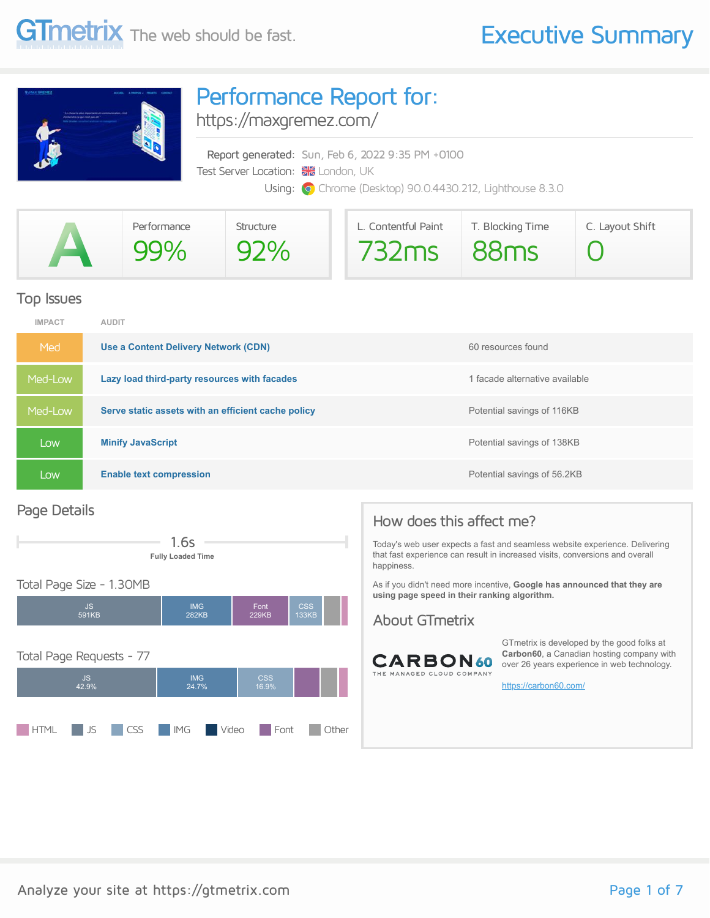

## Performance Report for:

<https://maxgremez.com/>

Report generated: Sun, Feb 6, 2022 9:35 PM +0100 Test Server Location: **XX** London, UK Using: **O** Chrome (Desktop) 90.0.4430.212, Lighthouse 8.3.0

|                          | Performance | Structure | L. Contentful Paint | T. Blocking Time | C. Layout Shift |
|--------------------------|-------------|-----------|---------------------|------------------|-----------------|
| $\overline{\phantom{a}}$ |             | 92%       | $732ms$ $88ms$      |                  |                 |

#### Top Issues

| <b>IMPACT</b> | <b>AUDIT</b>                                       |                                |
|---------------|----------------------------------------------------|--------------------------------|
| Med           | Use a Content Delivery Network (CDN)               | 60 resources found             |
| Med-Low       | Lazy load third-party resources with facades       | 1 facade alternative available |
| Med-Low       | Serve static assets with an efficient cache policy | Potential savings of 116KB     |
| LOW.          | <b>Minify JavaScript</b>                           | Potential savings of 138KB     |
| Low           | <b>Enable text compression</b>                     | Potential savings of 56.2KB    |

#### Page Details





#### Total Page Size - 1.30MB



### How does this affect me?

Today's web user expects a fast and seamless website experience. Delivering that fast experience can result in increased visits, conversions and overall happiness.

As if you didn't need more incentive, **Google has announced that they are using page speed in their ranking algorithm.**

#### About GTmetrix



GTmetrix is developed by the good folks at **Carbon60**, a Canadian hosting company with over 26 years experience in web technology.

<https://carbon60.com/>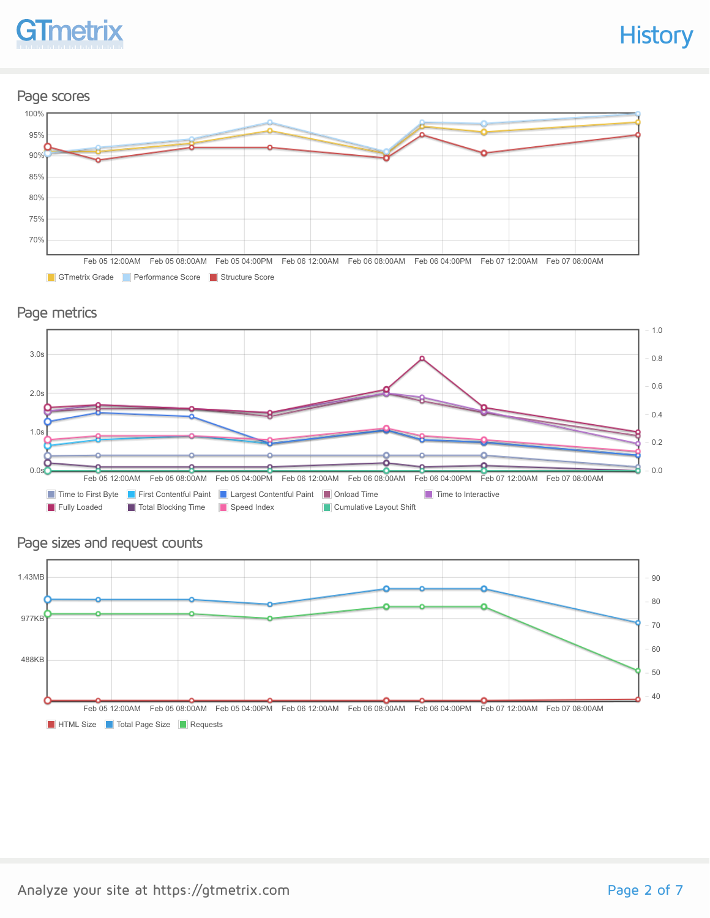

#### Page scores



GTmetrix Grade Performance Score Structure Score





### Page sizes and request counts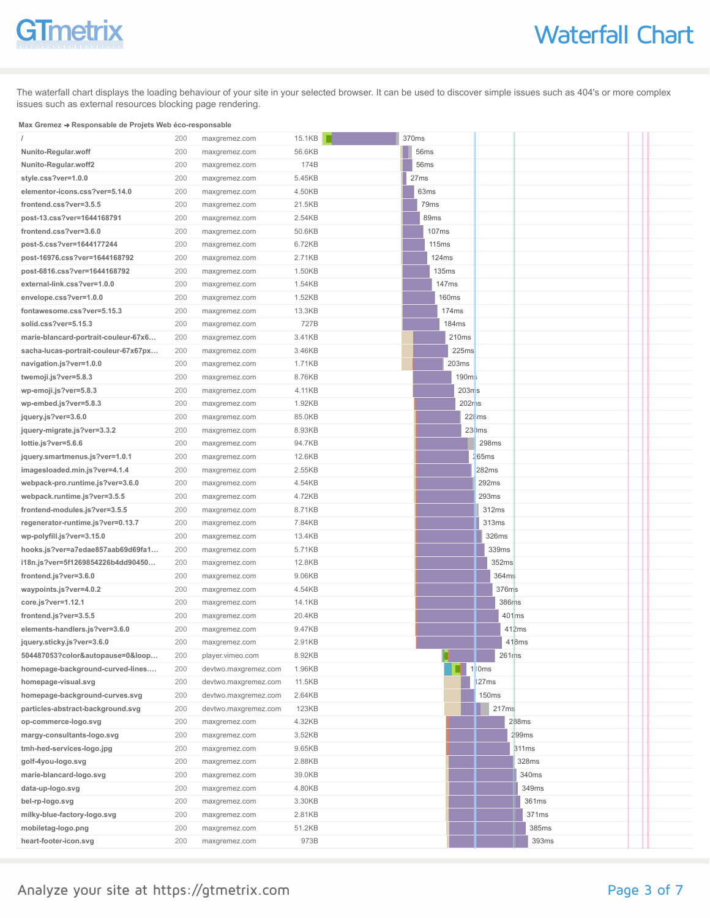# GTmetrix

The waterfall chart displays the loading behaviour of your site in your selected browser. It can be used to discover simple issues such as 404's or more complex issues such as external resources blocking page rendering.

#### **Max Gremez** ➜ **Responsable de Projets Web éco-responsable**

|                                      | 200 | maxgremez.com        | 15.1KB       | 370ms |                      |                           |       |       |       |  |
|--------------------------------------|-----|----------------------|--------------|-------|----------------------|---------------------------|-------|-------|-------|--|
| Nunito-Regular.woff                  | 200 | maxgremez.com        | 56.6KB       | 56ms  |                      |                           |       |       |       |  |
| Nunito-Regular.woff2                 | 200 | maxgremez.com        | 174B         | 56ms  |                      |                           |       |       |       |  |
| style.css?ver=1.0.0                  | 200 | maxgremez.com        | 5.45KB       | 27ms  |                      |                           |       |       |       |  |
| elementor-icons.css?ver=5.14.0       | 200 | maxgremez.com        | 4.50KB       |       | 63ms                 |                           |       |       |       |  |
| frontend.css?ver=3.5.5               | 200 | maxgremez.com        | 21.5KB       |       | 79ms                 |                           |       |       |       |  |
| post-13.css?ver=1644168791           | 200 | maxgremez.com        | 2.54KB       |       | 89ms                 |                           |       |       |       |  |
| frontend.css?ver=3.6.0               | 200 | maxgremez.com        | 50.6KB       |       | 107ms                |                           |       |       |       |  |
| post-5.css?ver=1644177244            | 200 | maxgremez.com        | 6.72KB       |       | 115ms                |                           |       |       |       |  |
| post-16976.css?ver=1644168792        | 200 | maxgremez.com        | 2.71KB       |       | 124ms                |                           |       |       |       |  |
| post-6816.css?ver=1644168792         | 200 | maxgremez.com        | 1.50KB       |       | 135ms                |                           |       |       |       |  |
| external-link.css?ver=1.0.0          | 200 | maxgremez.com        | 1.54KB       |       | 147ms                |                           |       |       |       |  |
| envelope.css?ver=1.0.0               | 200 | maxgremez.com        | 1.52KB       |       | <b>160ms</b>         |                           |       |       |       |  |
| fontawesome.css?ver=5.15.3           | 200 | maxgremez.com        | 13.3KB       |       | 174ms                |                           |       |       |       |  |
| solid.css?ver=5.15.3                 | 200 | maxgremez.com        | 727B         |       | 184ms                |                           |       |       |       |  |
| marie-blancard-portrait-couleur-67x6 | 200 | maxgremez.com        | 3.41KB       |       | 210ms                |                           |       |       |       |  |
| sacha-lucas-portrait-couleur-67x67px | 200 | maxgremez.com        | 3.46KB       |       | 225ms                |                           |       |       |       |  |
| navigation.js?ver=1.0.0              | 200 | maxgremez.com        | 1.71KB       |       | 203ms                |                           |       |       |       |  |
| twemoji.js?ver=5.8.3                 | 200 | maxgremez.com        | 8.76KB       |       | 190 <sub>m</sub>     |                           |       |       |       |  |
| wp-emoji.js?ver=5.8.3                | 200 | maxgremez.com        | 4.11KB       |       | $203n$ s             |                           |       |       |       |  |
| wp-embed.js?ver=5.8.3                | 200 | maxgremez.com        | 1.92KB       |       | $202r$ <sub>1s</sub> |                           |       |       |       |  |
| jquery.js?ver=3.6.0                  | 200 | maxgremez.com        | 85.0KB       |       |                      | $22\text{\textdegree}$ ms |       |       |       |  |
| jquery-migrate.js?ver=3.3.2          | 200 | maxgremez.com        | 8.93KB       |       |                      | 230ms                     |       |       |       |  |
| lottie.js?ver=5.6.6                  | 200 | maxgremez.com        | 94.7KB       |       |                      |                           | 298ms |       |       |  |
| jquery.smartmenus.js?ver=1.0.1       | 200 | maxgremez.com        | 12.6KB       |       |                      | 265ms                     |       |       |       |  |
| imagesloaded.min.js?ver=4.1.4        | 200 | maxgremez.com        | 2.55KB       |       |                      |                           | 282ms |       |       |  |
| webpack-pro.runtime.js?ver=3.6.0     | 200 | maxgremez.com        | 4.54KB       |       |                      |                           | 292ms |       |       |  |
| webpack.runtime.js?ver=3.5.5         | 200 | maxgremez.com        | 4.72KB       |       |                      |                           | 293ms |       |       |  |
| frontend-modules.js?ver=3.5.5        | 200 | maxgremez.com        | 8.71KB       |       |                      |                           | 312ms |       |       |  |
| regenerator-runtime.js?ver=0.13.7    | 200 | maxgremez.com        | 7.84KB       |       |                      |                           | 313ms |       |       |  |
| wp-polyfill.js?ver=3.15.0            | 200 | maxgremez.com        | 13.4KB       |       |                      |                           | 326ms |       |       |  |
| hooks.js?ver=a7edae857aab69d69fa1    | 200 | maxgremez.com        | 5.71KB       |       |                      |                           | 339ms |       |       |  |
| i18n.js?ver=5f1269854226b4dd90450    | 200 | maxgremez.com        | 12.8KB       |       |                      |                           | 352ms |       |       |  |
| frontend.js?ver=3.6.0                | 200 | maxgremez.com        | 9.06KB       |       |                      |                           | 364ms |       |       |  |
| waypoints.js?ver=4.0.2               | 200 | maxgremez.com        | 4.54KB       |       |                      |                           | 376ms |       |       |  |
| core.js?ver=1.12.1                   | 200 | maxgremez.com        | 14.1KB       |       |                      |                           | 386ms |       |       |  |
| frontend.js?ver=3.5.5                | 200 | maxgremez.com        | 20.4KB       |       |                      |                           |       | 401ms |       |  |
| elements-handlers.js?ver=3.6.0       | 200 | maxgremez.com        | 9.47KB       |       |                      |                           |       | 412ms |       |  |
| jquery.sticky.js?ver=3.6.0           | 200 | maxgremez.com        | 2.91KB       |       |                      |                           |       | 418ms |       |  |
| 504487053?color&autopause=0&loop     | 200 | player.vimeo.com     | 8.92KB       |       |                      |                           | 261ms |       |       |  |
| homepage-background-curved-lines     | 200 | devtwo.maxgremez.com | 1.96KB       |       |                      | 110ms                     |       |       |       |  |
| homepage-visual.svg                  | 200 | devtwo.maxgremez.com | 11.5KB       |       |                      |                           | 127ms |       |       |  |
| homepage-background-curves.svg       | 200 | devtwo.maxgremez.com | 2.64KB       |       |                      |                           | 150ms |       |       |  |
| particles-abstract-background.svg    | 200 | devtwo.maxgremez.com | <b>123KB</b> |       |                      |                           | 217ms |       |       |  |
| op-commerce-logo.svg                 | 200 | maxgremez.com        | 4.32KB       |       |                      |                           |       | 288ms |       |  |
| margy-consultants-logo.svg           | 200 | maxgremez.com        | 3.52KB       |       |                      |                           |       | 299ms |       |  |
| tmh-hed-services-logo.jpg            | 200 | maxgremez.com        | 9.65KB       |       |                      |                           |       | 311ms |       |  |
| golf-4you-logo.svg                   | 200 | maxgremez.com        | 2.88KB       |       |                      |                           |       |       | 328ms |  |
| marie-blancard-logo.svg              | 200 | maxgremez.com        | 39.0KB       |       |                      |                           |       |       | 340ms |  |
| data-up-logo.svg                     | 200 | maxgremez.com        | 4.80KB       |       |                      |                           |       |       | 349ms |  |
| bel-rp-logo.svg                      | 200 | maxgremez.com        | 3.30KB       |       |                      |                           |       |       | 361ms |  |
| milky-blue-factory-logo.svg          | 200 | maxgremez.com        | 2.81KB       |       |                      |                           |       |       | 371ms |  |
| mobiletag-logo.png                   | 200 | maxgremez.com        | 51.2KB       |       |                      |                           |       |       | 385ms |  |
| heart-footer-icon.svg                | 200 | maxgremez.com        | 973B         |       |                      |                           |       |       | 393ms |  |
|                                      |     |                      |              |       |                      |                           |       |       |       |  |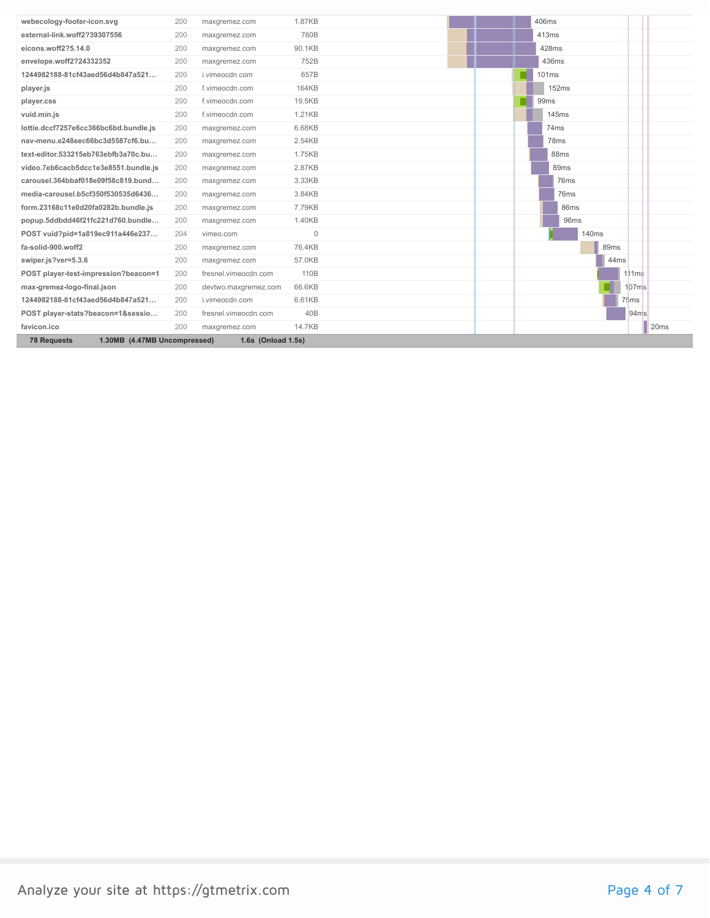| webecology-footer-icon.svg                         | 200 | maxgremez.com        | 1.87KB           |  | 406ms             |                  |                   |                  |
|----------------------------------------------------|-----|----------------------|------------------|--|-------------------|------------------|-------------------|------------------|
| external-link.woff2?39307556                       | 200 | maxgremez.com        | 760B             |  | 413ms             |                  |                   |                  |
| eicons.woff2?5.14.0                                | 200 | maxgremez.com        | 90.1KB           |  | 428ms             |                  |                   |                  |
| envelope.woff2?24332352                            | 200 | maxgremez.com        | 752B             |  | 436ms             |                  |                   |                  |
| 1244982188-81cf43aed56d4b847a521                   | 200 | i.vimeocdn.com       | 657B             |  | 101ms             |                  |                   |                  |
| player.js                                          | 200 | f.vimeocdn.com       | 164KB            |  | 152ms             |                  |                   |                  |
| player.css                                         | 200 | f.vimeocdn.com       | 19.5KB           |  | 99 <sub>ms</sub>  |                  |                   |                  |
| vuid.min.js                                        | 200 | f.vimeocdn.com       | 1.21KB           |  | <b>145ms</b>      |                  |                   |                  |
| lottie.dccf7257e6cc366bc6bd.bundle.js              | 200 | maxgremez.com        | 6.68KB           |  | 74 <sub>ms</sub>  |                  |                   |                  |
| nav-menu.e248eec66bc3d5587cf6.bu                   | 200 | maxgremez.com        | 2.54KB           |  | 78 <sub>ms</sub>  |                  |                   |                  |
| text-editor.533215eb763ebfb3a70c.bu                | 200 | maxgremez.com        | 1.75KB           |  | 88 <sub>ms</sub>  |                  |                   |                  |
| video.7eb6cacb5dcc1e3e8551.bundle.js               | 200 | maxgremez.com        | 2.87KB           |  | 89 <sub>ms</sub>  |                  |                   |                  |
| carousel.364bbaf018e09f58c819.bund                 | 200 | maxgremez.com        | 3.33KB           |  | 76ms              |                  |                   |                  |
| media-carousel.b5cf350f530535d6436                 | 200 | maxgremez.com        | 3.84KB           |  | 76ms              |                  |                   |                  |
| form.23168c11e0d20fa0282b.bundle.js                | 200 | maxgremez.com        | 7.79KB           |  | 86ms              |                  |                   |                  |
| popup.5ddbdd46f21fc221d760.bundle                  | 200 | maxgremez.com        | 1.40KB           |  | 96 <sub>ms</sub>  |                  |                   |                  |
| POST vuid?pid=1a819ec911a446e237                   | 204 | vimeo.com            | $\mathbf 0$      |  | 140 <sub>ms</sub> |                  |                   |                  |
| fa-solid-900.woff2                                 | 200 | maxgremez.com        | 76.4KB           |  |                   | 89ms             |                   |                  |
| swiper.js?ver=5.3.6                                | 200 | maxgremez.com        | 57.0KB           |  |                   | 44 <sub>ms</sub> |                   |                  |
| POST player-test-impression?beacon=1               | 200 | fresnel.vimeocdn.com | 110 <sub>B</sub> |  |                   |                  | 111ms             |                  |
| max-gremez-logo-final.json                         | 200 | devtwo.maxgremez.com | 66.6KB           |  |                   |                  | 107 <sub>ms</sub> |                  |
| 1244982188-81cf43aed56d4b847a521                   | 200 | i.vimeocdn.com       | 6.61KB           |  |                   |                  | 75ms              |                  |
| POST player-stats?beacon=1&sessio                  | 200 | fresnel.vimeocdn.com | 40B              |  |                   |                  | 94ms              |                  |
| favicon.ico                                        | 200 | maxgremez.com        | 14.7KB           |  |                   |                  |                   | 20 <sub>ms</sub> |
| 1.30MB (4.47MB Uncompressed)<br><b>78 Requests</b> |     | 1.6s (Onload 1.5s)   |                  |  |                   |                  |                   |                  |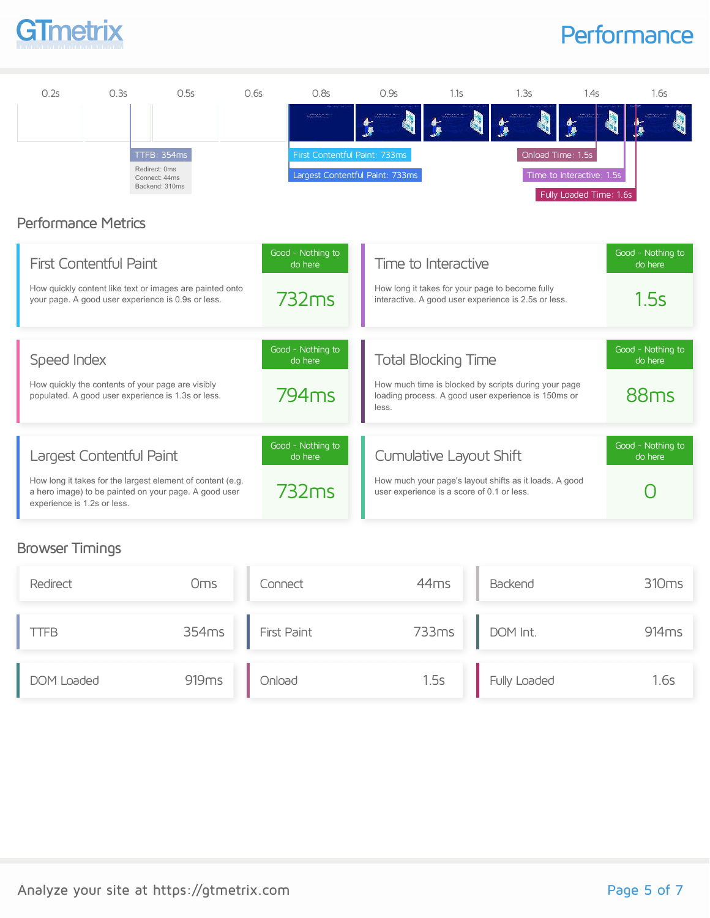

## **Performance**



#### Browser Timings

| Redirect   | Oms               | Connect            | 44 <sub>ms</sub> | Backend      | 310 <sub>ms</sub> |
|------------|-------------------|--------------------|------------------|--------------|-------------------|
| TFB        | 354ms             | <b>First Paint</b> | 733ms            | DOM Int.     | 914 <sub>ms</sub> |
| DOM Loaded | 919 <sub>ms</sub> | Onload             | 1.5s             | Fully Loaded | 1.6s              |